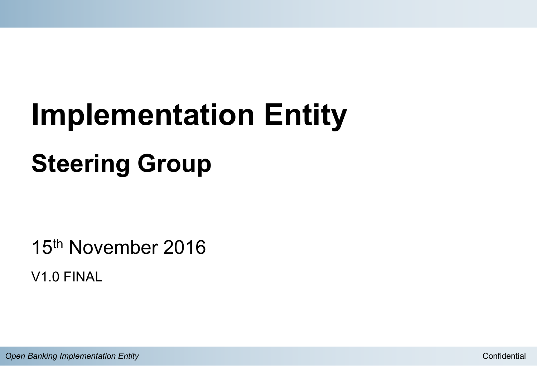# **Implementation Entity Steering Group**

15th November 2016 V1.0 FINAL

**Open Banking Implementation Entity** Confidential Confidential Confidential Confidential Confidential Confidential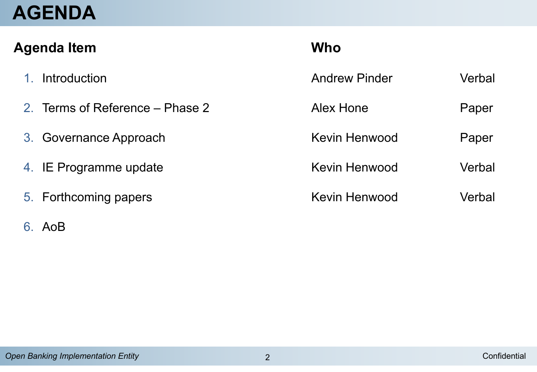### **AGENDA**

| <b>Who</b> |  |  |  |
|------------|--|--|--|
| Verbal     |  |  |  |
| Paper      |  |  |  |
| Paper      |  |  |  |
| Verbal     |  |  |  |
| Verbal     |  |  |  |
|            |  |  |  |

#### 6. AoB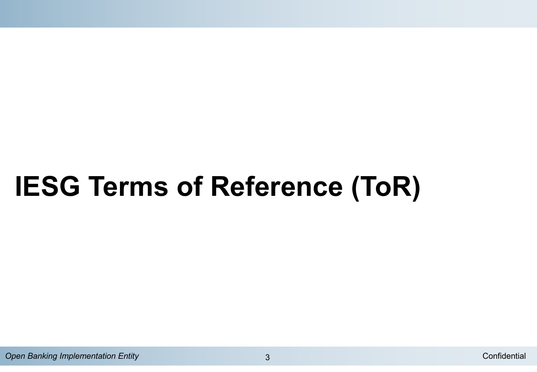## **IESG Terms of Reference (ToR)**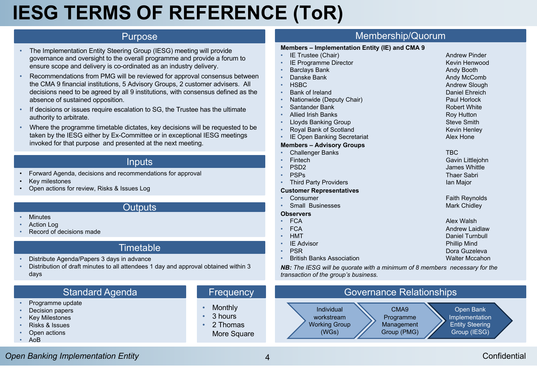### **IESG TERMS OF REFERENCE (ToR)**

#### Purpose

- The Implementation Entity Steering Group (IESG) meeting will provide governance and oversight to the overall programme and provide a forum to ensure scope and delivery is co-ordinated as an industry delivery.
- Recommendations from PMG will be reviewed for approval consensus between the CMA 9 financial institutions, 5 Advisory Groups, 2 customer advisers. All decisions need to be agreed by all 9 institutions, with consensus defined as the absence of sustained opposition.
- If decisions or issues require escalation to SG, the Trustee has the ultimate authority to arbitrate.
- Where the programme timetable dictates, key decisions will be requested to be taken by the IESG either by Ex-Committee or in exceptional IESG meetings invoked for that purpose and presented at the next meeting.

#### Inputs

- Forward Agenda, decisions and recommendations for approval
- Key milestones
- Open actions for review, Risks & Issues Log

#### **Outputs**

- Minutes
- Action Log
- Record of decisions made

#### **Timetable**

- Distribute Agenda/Papers 3 days in advance
- Distribution of draft minutes to all attendees 1 day and approval obtained within 3 days

#### Standard Agenda

- Programme update
- Decision papers
- **Key Milestones**
- Risks & Issues
- Open actions
- AoB

#### **Frequency**

- **Monthly**
- 3 hours
- 2 Thomas More Square

#### Membership/Quorum

#### **Members – Implementation Entity (IE) and CMA 9**

- IE Trustee (Chair) Andrew Pinder
- **IE Programme Director** Kevin Henwood
- **Barclays Bank Bank Andy Booth Andy Booth**
- **Danske Bank Andy McComb Andy McComb**
- HSBC Andrew Slough
- Bank of Ireland Daniel Ehreich
- **Nationwide (Deputy Chair)** Paul Horlock
- **Santander Bank** Robert White
- **Allied Irish Banks Roy Hutton**
- Lloyds Banking Group Steve Smith
- **Proval Bank of Scotland Kevin Henley** Kevin Henley
- IE Open Banking Secretariat **Alex Hone**

#### **Members – Advisory Groups**

#### • Challenger Banks TBC • Fintech Gavin Littlejohn • PSD2 James Whittle • PSPs Thaer Sabri

**Third Party Providers Ian Major** Ian Major

#### **Customer Representatives**

• Consumer Faith Reynolds **Faith Reynolds • Small Businesses Mark Chidley** Mark Chidley

#### **Observers**

- FCA Alex Walsh • FCA Andrew Laidlaw
- HMT Daniel Turnbull and the United States of the United States of the Daniel Turnbull
- **IE Advisor Phillip Mind**
- PSR Dora Guzeleva in the Second Library of the Dora Guzeleva in the Dora Guzeleva
- **British Banks Association** Malter Mccahon Walter Mccahon

*NB: The IESG will be quorate with a minimum of 8 members necessary for the transaction of the group's business.*



#### **Open Banking Implementation Entity 1988 According to the Confidential According to the Confidential Confidential**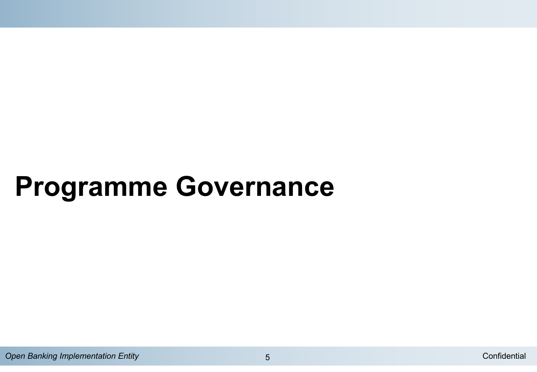## **Programme Governance**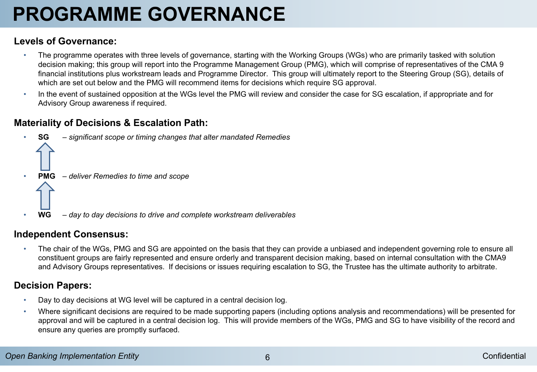## **PROGRAMME GOVERNANCE**

#### **Levels of Governance:**

- The programme operates with three levels of governance, starting with the Working Groups (WGs) who are primarily tasked with solution decision making; this group will report into the Programme Management Group (PMG), which will comprise of representatives of the CMA 9 financial institutions plus workstream leads and Programme Director. This group will ultimately report to the Steering Group (SG), details of which are set out below and the PMG will recommend items for decisions which require SG approval.
- In the event of sustained opposition at the WGs level the PMG will review and consider the case for SG escalation, if appropriate and for Advisory Group awareness if required.

#### **Materiality of Decisions & Escalation Path:**



#### **Independent Consensus:**

• The chair of the WGs, PMG and SG are appointed on the basis that they can provide a unbiased and independent governing role to ensure all constituent groups are fairly represented and ensure orderly and transparent decision making, based on internal consultation with the CMA9 and Advisory Groups representatives. If decisions or issues requiring escalation to SG, the Trustee has the ultimate authority to arbitrate.

#### **Decision Papers:**

- Day to day decisions at WG level will be captured in a central decision log.
- Where significant decisions are required to be made supporting papers (including options analysis and recommendations) will be presented for approval and will be captured in a central decision log. This will provide members of the WGs, PMG and SG to have visibility of the record and ensure any queries are promptly surfaced.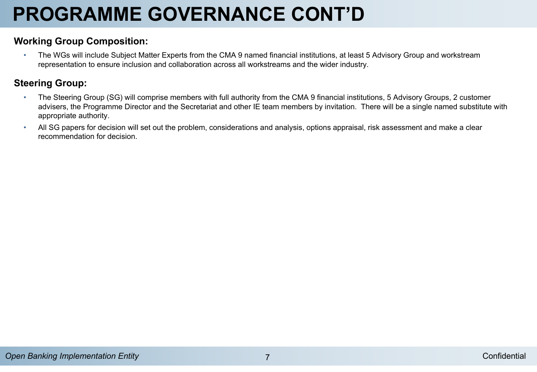## **PROGRAMME GOVERNANCE CONT'D**

#### **Working Group Composition:**

• The WGs will include Subject Matter Experts from the CMA 9 named financial institutions, at least 5 Advisory Group and workstream representation to ensure inclusion and collaboration across all workstreams and the wider industry.

#### **Steering Group:**

- The Steering Group (SG) will comprise members with full authority from the CMA 9 financial institutions, 5 Advisory Groups, 2 customer advisers, the Programme Director and the Secretariat and other IE team members by invitation. There will be a single named substitute with appropriate authority.
- All SG papers for decision will set out the problem, considerations and analysis, options appraisal, risk assessment and make a clear recommendation for decision.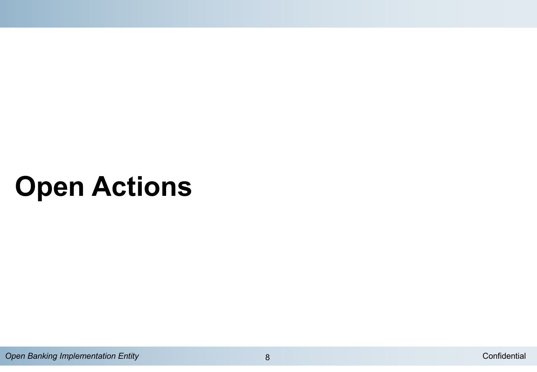## **Open Actions**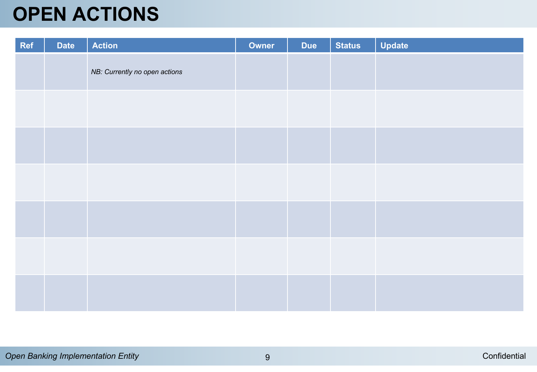### **OPEN ACTIONS**

| Ref | <b>Date</b> | <b>Action</b>                 | Owner | <b>Due</b> | <b>Status</b> | <b>Update</b> |
|-----|-------------|-------------------------------|-------|------------|---------------|---------------|
|     |             | NB: Currently no open actions |       |            |               |               |
|     |             |                               |       |            |               |               |
|     |             |                               |       |            |               |               |
|     |             |                               |       |            |               |               |
|     |             |                               |       |            |               |               |
|     |             |                               |       |            |               |               |
|     |             |                               |       |            |               |               |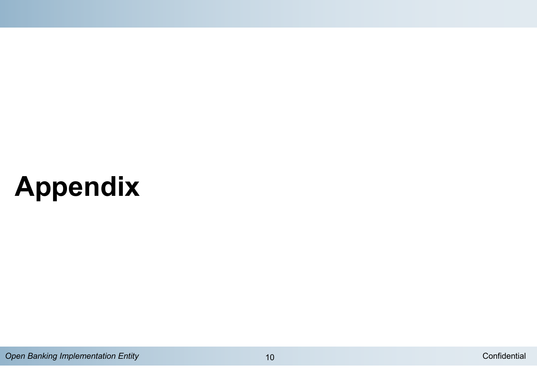## **Appendix**